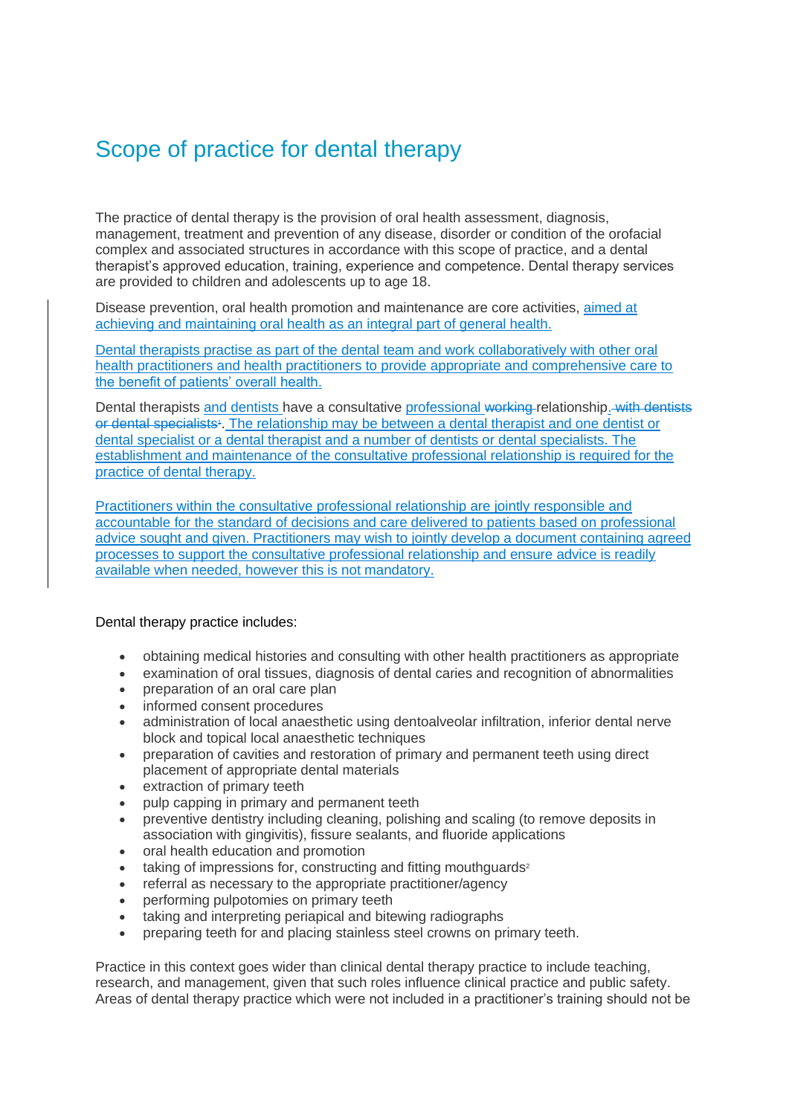## Scope of practice for dental therapy

The practice of dental therapy is the provision of oral health assessment, diagnosis, management, treatment and prevention of any disease, disorder or condition of the orofacial complex and associated structures in accordance with this scope of practice, and a dental therapist's approved education, training, experience and competence. Dental therapy services are provided to children and adolescents up to age 18.

Disease prevention, oral health promotion and maintenance are core activities, aimed at achieving and maintaining oral health as an integral part of general health.

Dental therapists practise as part of the dental team and work collaboratively with other oral health practitioners and health practitioners to provide appropriate and comprehensive care to the benefit of patients' overall health.

Dental therapists and dentists have a consultative professional working relationship. with dentists or dental specialists<sup>4</sup>. The relationship may be between a dental therapist and one dentist or dental specialist or a dental therapist and a number of dentists or dental specialists. The establishment and maintenance of the consultative professional relationship is required for the practice of dental therapy.

Practitioners within the consultative professional relationship are jointly responsible and accountable for the standard of decisions and care delivered to patients based on professional advice sought and given. Practitioners may wish to jointly develop a document containing agreed processes to support the consultative professional relationship and ensure advice is readily available when needed, however this is not mandatory.

Dental therapy practice includes:

- obtaining medical histories and consulting with other health practitioners as appropriate
- examination of oral tissues, diagnosis of dental caries and recognition of abnormalities
- preparation of an oral care plan
- informed consent procedures
- administration of local anaesthetic using dentoalveolar infiltration, inferior dental nerve block and topical local anaesthetic techniques
- preparation of cavities and restoration of primary and permanent teeth using direct placement of appropriate dental materials
- extraction of primary teeth
- pulp capping in primary and permanent teeth
- preventive dentistry including cleaning, polishing and scaling (to remove deposits in association with gingivitis), fissure sealants, and fluoride applications
- oral health education and promotion
- taking of impressions for, constructing and fitting mouthguards<sup>2</sup>
- referral as necessary to the appropriate practitioner/agency
- performing pulpotomies on primary teeth
- taking and interpreting periapical and bitewing radiographs
- preparing teeth for and placing stainless steel crowns on primary teeth.

Practice in this context goes wider than clinical dental therapy practice to include teaching, research, and management, given that such roles influence clinical practice and public safety. Areas of dental therapy practice which were not included in a practitioner's training should not be